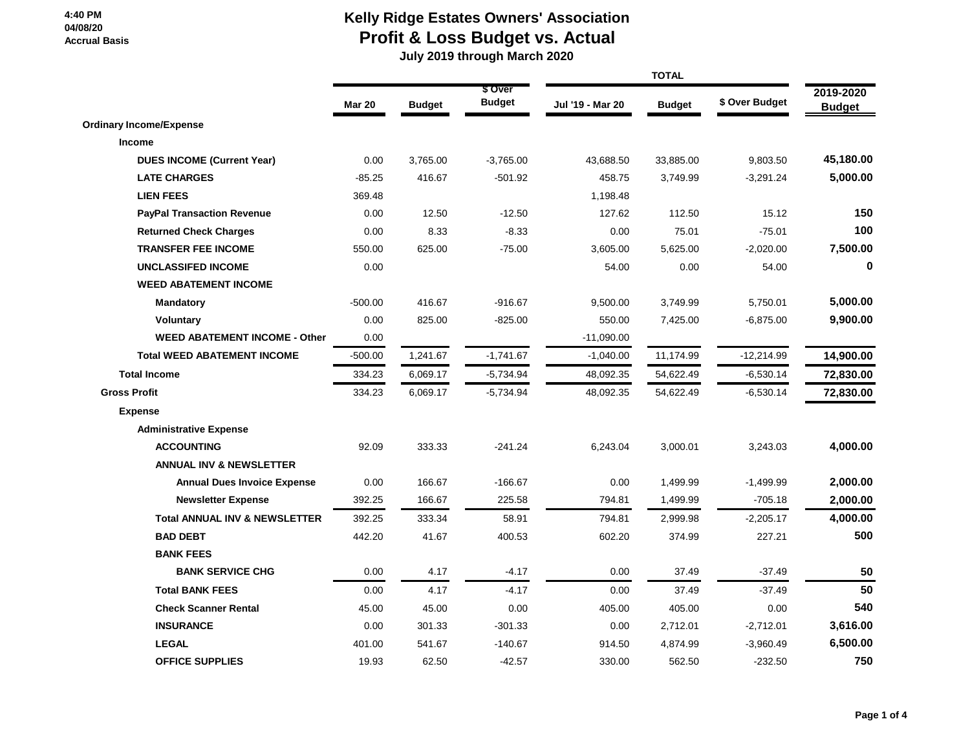# **Kelly Ridge Estates Owners' Association Profit & Loss Budget vs. Actual**

 **July 2019 through March 2020**

|                                          | <b>TOTAL</b>  |               |                          |                  |               |                |                            |
|------------------------------------------|---------------|---------------|--------------------------|------------------|---------------|----------------|----------------------------|
|                                          | <b>Mar 20</b> | <b>Budget</b> | \$ Over<br><b>Budget</b> | Jul '19 - Mar 20 | <b>Budget</b> | \$ Over Budget | 2019-2020<br><b>Budget</b> |
| <b>Ordinary Income/Expense</b>           |               |               |                          |                  |               |                |                            |
| Income                                   |               |               |                          |                  |               |                |                            |
| <b>DUES INCOME (Current Year)</b>        | 0.00          | 3,765.00      | $-3,765.00$              | 43,688.50        | 33,885.00     | 9,803.50       | 45,180.00                  |
| <b>LATE CHARGES</b>                      | $-85.25$      | 416.67        | $-501.92$                | 458.75           | 3,749.99      | $-3,291.24$    | 5,000.00                   |
| <b>LIEN FEES</b>                         | 369.48        |               |                          | 1,198.48         |               |                |                            |
| <b>PayPal Transaction Revenue</b>        | 0.00          | 12.50         | $-12.50$                 | 127.62           | 112.50        | 15.12          | 150                        |
| <b>Returned Check Charges</b>            | 0.00          | 8.33          | $-8.33$                  | 0.00             | 75.01         | $-75.01$       | 100                        |
| <b>TRANSFER FEE INCOME</b>               | 550.00        | 625.00        | $-75.00$                 | 3,605.00         | 5,625.00      | $-2,020.00$    | 7,500.00                   |
| <b>UNCLASSIFED INCOME</b>                | 0.00          |               |                          | 54.00            | 0.00          | 54.00          | $\bf{0}$                   |
| <b>WEED ABATEMENT INCOME</b>             |               |               |                          |                  |               |                |                            |
| <b>Mandatory</b>                         | $-500.00$     | 416.67        | $-916.67$                | 9,500.00         | 3,749.99      | 5,750.01       | 5,000.00                   |
| <b>Voluntary</b>                         | 0.00          | 825.00        | $-825.00$                | 550.00           | 7,425.00      | $-6,875.00$    | 9,900.00                   |
| <b>WEED ABATEMENT INCOME - Other</b>     | 0.00          |               |                          | $-11,090.00$     |               |                |                            |
| <b>Total WEED ABATEMENT INCOME</b>       | $-500.00$     | 1,241.67      | $-1,741.67$              | $-1,040.00$      | 11,174.99     | $-12,214.99$   | 14,900.00                  |
| <b>Total Income</b>                      | 334.23        | 6,069.17      | $-5,734.94$              | 48,092.35        | 54,622.49     | $-6,530.14$    | 72,830.00                  |
| <b>Gross Profit</b>                      | 334.23        | 6,069.17      | $-5,734.94$              | 48,092.35        | 54,622.49     | $-6,530.14$    | 72,830.00                  |
| <b>Expense</b>                           |               |               |                          |                  |               |                |                            |
| <b>Administrative Expense</b>            |               |               |                          |                  |               |                |                            |
| <b>ACCOUNTING</b>                        | 92.09         | 333.33        | $-241.24$                | 6,243.04         | 3,000.01      | 3,243.03       | 4,000.00                   |
| <b>ANNUAL INV &amp; NEWSLETTER</b>       |               |               |                          |                  |               |                |                            |
| <b>Annual Dues Invoice Expense</b>       | 0.00          | 166.67        | $-166.67$                | 0.00             | 1,499.99      | $-1,499.99$    | 2,000.00                   |
| <b>Newsletter Expense</b>                | 392.25        | 166.67        | 225.58                   | 794.81           | 1,499.99      | $-705.18$      | 2,000.00                   |
| <b>Total ANNUAL INV &amp; NEWSLETTER</b> | 392.25        | 333.34        | 58.91                    | 794.81           | 2,999.98      | $-2,205.17$    | 4,000.00                   |
| <b>BAD DEBT</b>                          | 442.20        | 41.67         | 400.53                   | 602.20           | 374.99        | 227.21         | 500                        |
| <b>BANK FEES</b>                         |               |               |                          |                  |               |                |                            |
| <b>BANK SERVICE CHG</b>                  | 0.00          | 4.17          | $-4.17$                  | 0.00             | 37.49         | $-37.49$       | 50                         |
| <b>Total BANK FEES</b>                   | 0.00          | 4.17          | $-4.17$                  | 0.00             | 37.49         | $-37.49$       | 50                         |
| <b>Check Scanner Rental</b>              | 45.00         | 45.00         | 0.00                     | 405.00           | 405.00        | 0.00           | 540                        |
| <b>INSURANCE</b>                         | 0.00          | 301.33        | $-301.33$                | 0.00             | 2,712.01      | $-2,712.01$    | 3,616.00                   |
| <b>LEGAL</b>                             | 401.00        | 541.67        | $-140.67$                | 914.50           | 4,874.99      | $-3,960.49$    | 6,500.00                   |
| <b>OFFICE SUPPLIES</b>                   | 19.93         | 62.50         | $-42.57$                 | 330.00           | 562.50        | $-232.50$      | 750                        |
|                                          |               |               |                          |                  |               |                |                            |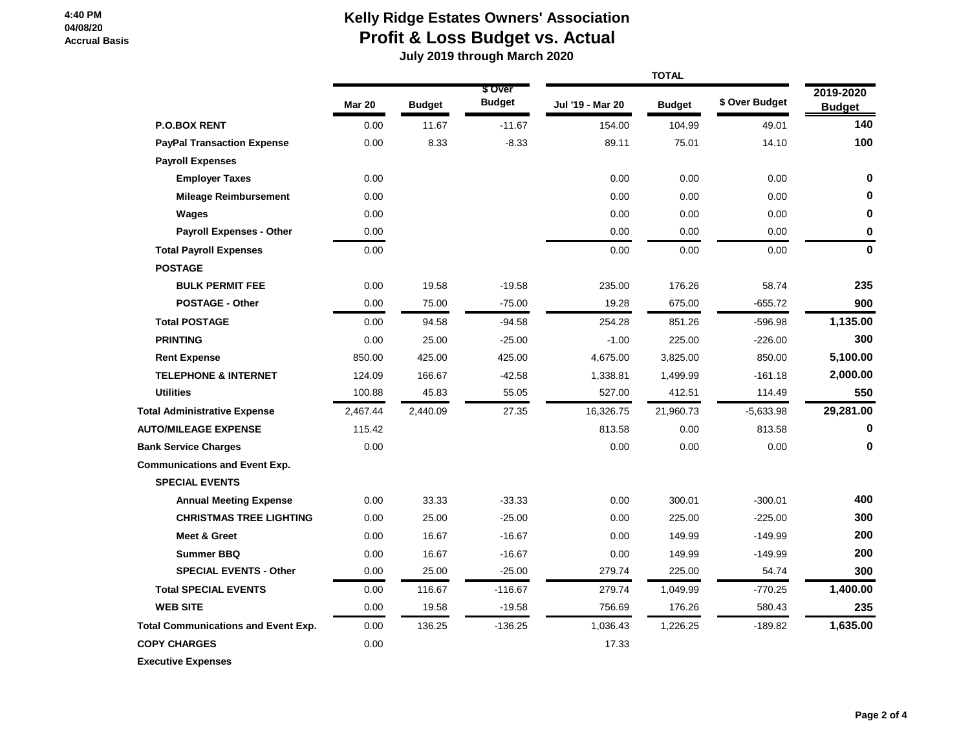## **Kelly Ridge Estates Owners' Association Profit & Loss Budget vs. Actual**

 **July 2019 through March 2020**

|                                            | <b>Mar 20</b> | <b>Budget</b> | \$ Over<br><b>Budget</b> | Jul '19 - Mar 20 | <b>Budget</b> | \$ Over Budget | 2019-2020<br><b>Budget</b> |
|--------------------------------------------|---------------|---------------|--------------------------|------------------|---------------|----------------|----------------------------|
| <b>P.O.BOX RENT</b>                        | 0.00          | 11.67         | $-11.67$                 | 154.00           | 104.99        | 49.01          | 140                        |
| <b>PayPal Transaction Expense</b>          | 0.00          | 8.33          | $-8.33$                  | 89.11            | 75.01         | 14.10          | 100                        |
| <b>Payroll Expenses</b>                    |               |               |                          |                  |               |                |                            |
| <b>Employer Taxes</b>                      | 0.00          |               |                          | 0.00             | 0.00          | 0.00           | 0                          |
| <b>Mileage Reimbursement</b>               | 0.00          |               |                          | 0.00             | 0.00          | 0.00           | 0                          |
| Wages                                      | 0.00          |               |                          | 0.00             | 0.00          | 0.00           | 0                          |
| <b>Payroll Expenses - Other</b>            | 0.00          |               |                          | 0.00             | 0.00          | 0.00           | 0                          |
| <b>Total Payroll Expenses</b>              | 0.00          |               |                          | 0.00             | 0.00          | 0.00           | 0                          |
| <b>POSTAGE</b>                             |               |               |                          |                  |               |                |                            |
| <b>BULK PERMIT FEE</b>                     | 0.00          | 19.58         | $-19.58$                 | 235.00           | 176.26        | 58.74          | 235                        |
| <b>POSTAGE - Other</b>                     | 0.00          | 75.00         | $-75.00$                 | 19.28            | 675.00        | $-655.72$      | 900                        |
| <b>Total POSTAGE</b>                       | 0.00          | 94.58         | $-94.58$                 | 254.28           | 851.26        | $-596.98$      | 1,135.00                   |
| <b>PRINTING</b>                            | 0.00          | 25.00         | $-25.00$                 | $-1.00$          | 225.00        | $-226.00$      | 300                        |
| <b>Rent Expense</b>                        | 850.00        | 425.00        | 425.00                   | 4,675.00         | 3,825.00      | 850.00         | 5,100.00                   |
| <b>TELEPHONE &amp; INTERNET</b>            | 124.09        | 166.67        | $-42.58$                 | 1,338.81         | 1,499.99      | $-161.18$      | 2,000.00                   |
| <b>Utilities</b>                           | 100.88        | 45.83         | 55.05                    | 527.00           | 412.51        | 114.49         | 550                        |
| <b>Total Administrative Expense</b>        | 2,467.44      | 2,440.09      | 27.35                    | 16,326.75        | 21,960.73     | $-5,633.98$    | 29,281.00                  |
| <b>AUTO/MILEAGE EXPENSE</b>                | 115.42        |               |                          | 813.58           | 0.00          | 813.58         | 0                          |
| <b>Bank Service Charges</b>                | 0.00          |               |                          | 0.00             | 0.00          | 0.00           | 0                          |
| <b>Communications and Event Exp.</b>       |               |               |                          |                  |               |                |                            |
| <b>SPECIAL EVENTS</b>                      |               |               |                          |                  |               |                |                            |
| <b>Annual Meeting Expense</b>              | 0.00          | 33.33         | $-33.33$                 | 0.00             | 300.01        | $-300.01$      | 400                        |
| <b>CHRISTMAS TREE LIGHTING</b>             | 0.00          | 25.00         | $-25.00$                 | 0.00             | 225.00        | $-225.00$      | 300                        |
| <b>Meet &amp; Greet</b>                    | 0.00          | 16.67         | $-16.67$                 | 0.00             | 149.99        | $-149.99$      | 200                        |
| <b>Summer BBQ</b>                          | 0.00          | 16.67         | $-16.67$                 | 0.00             | 149.99        | $-149.99$      | 200                        |
| <b>SPECIAL EVENTS - Other</b>              | 0.00          | 25.00         | $-25.00$                 | 279.74           | 225.00        | 54.74          | 300                        |
| <b>Total SPECIAL EVENTS</b>                | 0.00          | 116.67        | $-116.67$                | 279.74           | 1,049.99      | $-770.25$      | 1,400.00                   |
| <b>WEB SITE</b>                            | 0.00          | 19.58         | $-19.58$                 | 756.69           | 176.26        | 580.43         | 235                        |
| <b>Total Communications and Event Exp.</b> | 0.00          | 136.25        | $-136.25$                | 1,036.43         | 1,226.25      | $-189.82$      | 1,635.00                   |
| <b>COPY CHARGES</b>                        | 0.00          |               |                          | 17.33            |               |                |                            |
| <b>Executive Expenses</b>                  |               |               |                          |                  |               |                |                            |

 **Page 2 of 4**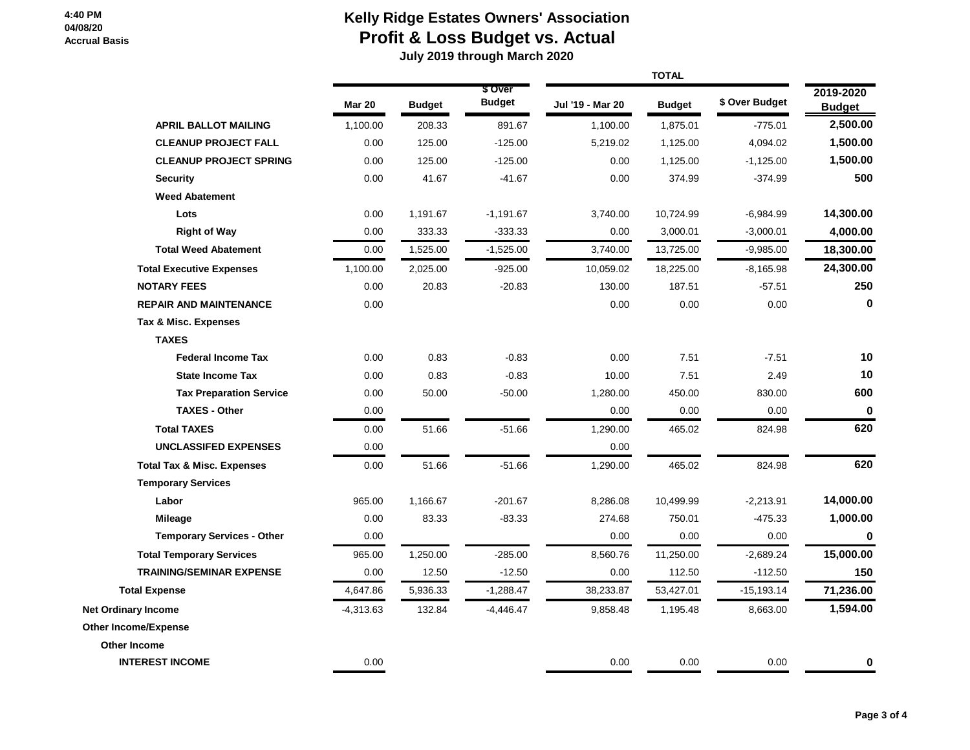# **Kelly Ridge Estates Owners' Association Profit & Loss Budget vs. Actual**

 **July 2019 through March 2020**

|                                       |               | <b>TOTAL</b>  |                          |                  |               |                |                            |
|---------------------------------------|---------------|---------------|--------------------------|------------------|---------------|----------------|----------------------------|
|                                       | <b>Mar 20</b> | <b>Budget</b> | \$ Over<br><b>Budget</b> | Jul '19 - Mar 20 | <b>Budget</b> | \$ Over Budget | 2019-2020<br><b>Budget</b> |
| <b>APRIL BALLOT MAILING</b>           | 1,100.00      | 208.33        | 891.67                   | 1,100.00         | 1,875.01      | $-775.01$      | 2,500.00                   |
| <b>CLEANUP PROJECT FALL</b>           | 0.00          | 125.00        | $-125.00$                | 5,219.02         | 1,125.00      | 4,094.02       | 1,500.00                   |
| <b>CLEANUP PROJECT SPRING</b>         | 0.00          | 125.00        | $-125.00$                | 0.00             | 1,125.00      | $-1,125.00$    | 1,500.00                   |
| <b>Security</b>                       | 0.00          | 41.67         | $-41.67$                 | 0.00             | 374.99        | $-374.99$      | 500                        |
| <b>Weed Abatement</b>                 |               |               |                          |                  |               |                |                            |
| Lots                                  | 0.00          | 1,191.67      | $-1,191.67$              | 3,740.00         | 10,724.99     | $-6,984.99$    | 14,300.00                  |
| <b>Right of Way</b>                   | 0.00          | 333.33        | $-333.33$                | 0.00             | 3,000.01      | $-3,000.01$    | 4,000.00                   |
| <b>Total Weed Abatement</b>           | 0.00          | 1,525.00      | $-1,525.00$              | 3,740.00         | 13,725.00     | $-9,985.00$    | 18,300.00                  |
| <b>Total Executive Expenses</b>       | 1,100.00      | 2,025.00      | $-925.00$                | 10,059.02        | 18,225.00     | $-8,165.98$    | 24,300.00                  |
| <b>NOTARY FEES</b>                    | 0.00          | 20.83         | $-20.83$                 | 130.00           | 187.51        | $-57.51$       | 250                        |
| <b>REPAIR AND MAINTENANCE</b>         | 0.00          |               |                          | 0.00             | 0.00          | 0.00           | $\mathbf 0$                |
| Tax & Misc. Expenses                  |               |               |                          |                  |               |                |                            |
| <b>TAXES</b>                          |               |               |                          |                  |               |                |                            |
| <b>Federal Income Tax</b>             | 0.00          | 0.83          | $-0.83$                  | 0.00             | 7.51          | $-7.51$        | 10                         |
| <b>State Income Tax</b>               | 0.00          | 0.83          | $-0.83$                  | 10.00            | 7.51          | 2.49           | 10                         |
| <b>Tax Preparation Service</b>        | 0.00          | 50.00         | $-50.00$                 | 1,280.00         | 450.00        | 830.00         | 600                        |
| <b>TAXES - Other</b>                  | 0.00          |               |                          | 0.00             | 0.00          | 0.00           | $\mathbf 0$                |
| <b>Total TAXES</b>                    | 0.00          | 51.66         | $-51.66$                 | 1,290.00         | 465.02        | 824.98         | 620                        |
| <b>UNCLASSIFED EXPENSES</b>           | 0.00          |               |                          | 0.00             |               |                |                            |
| <b>Total Tax &amp; Misc. Expenses</b> | 0.00          | 51.66         | $-51.66$                 | 1,290.00         | 465.02        | 824.98         | 620                        |
| <b>Temporary Services</b>             |               |               |                          |                  |               |                |                            |
| Labor                                 | 965.00        | 1,166.67      | $-201.67$                | 8,286.08         | 10,499.99     | $-2,213.91$    | 14,000.00                  |
| Mileage                               | 0.00          | 83.33         | $-83.33$                 | 274.68           | 750.01        | $-475.33$      | 1,000.00                   |
| <b>Temporary Services - Other</b>     | 0.00          |               |                          | 0.00             | 0.00          | 0.00           | $\mathbf 0$                |
| <b>Total Temporary Services</b>       | 965.00        | 1,250.00      | $-285.00$                | 8,560.76         | 11,250.00     | $-2,689.24$    | 15,000.00                  |
| <b>TRAINING/SEMINAR EXPENSE</b>       | 0.00          | 12.50         | $-12.50$                 | 0.00             | 112.50        | $-112.50$      | 150                        |
| <b>Total Expense</b>                  | 4,647.86      | 5,936.33      | $-1,288.47$              | 38,233.87        | 53,427.01     | $-15,193.14$   | 71,236.00                  |
| <b>Net Ordinary Income</b>            | $-4,313.63$   | 132.84        | $-4,446.47$              | 9,858.48         | 1,195.48      | 8,663.00       | 1,594.00                   |
| <b>Other Income/Expense</b>           |               |               |                          |                  |               |                |                            |
| <b>Other Income</b>                   |               |               |                          |                  |               |                |                            |
| <b>INTEREST INCOME</b>                | 0.00          |               |                          | 0.00             | 0.00          | 0.00           | $\bf{0}$                   |